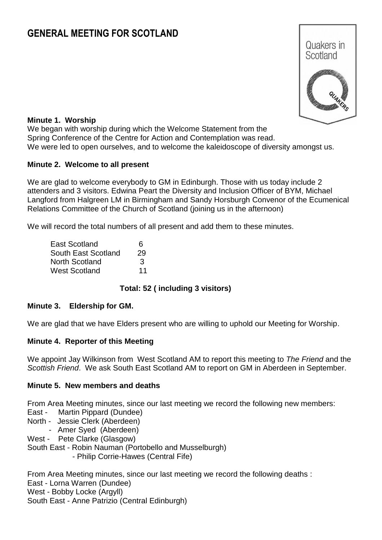# **GENERAL MEETING FOR SCOTLAND**



#### **Minute 1. Worship**

We began with worship during which the Welcome Statement from the Spring Conference of the Centre for Action and Contemplation was read. We were led to open ourselves, and to welcome the kaleidoscope of diversity amongst us.

#### **Minute 2. Welcome to all present**

We are glad to welcome everybody to GM in Edinburgh. Those with us today include 2 attenders and 3 visitors. Edwina Peart the Diversity and Inclusion Officer of BYM, Michael Langford from Halgreen LM in Birmingham and Sandy Horsburgh Convenor of the Ecumenical Relations Committee of the Church of Scotland (joining us in the afternoon)

We will record the total numbers of all present and add them to these minutes.

| East Scotland       | 6  |
|---------------------|----|
| South East Scotland | 29 |
| North Scotland      | 3  |
| West Scotland       | 11 |

#### **Total: 52 ( including 3 visitors)**

#### **Minute 3. Eldership for GM.**

We are glad that we have Elders present who are willing to uphold our Meeting for Worship.

#### **Minute 4. Reporter of this Meeting**

We appoint Jay Wilkinson from West Scotland AM to report this meeting to *The Friend* and the *Scottish Friend*. We ask South East Scotland AM to report on GM in Aberdeen in September.

#### **Minute 5. New members and deaths**

From Area Meeting minutes, since our last meeting we record the following new members:

- East Martin Pippard (Dundee)
- North Jessie Clerk (Aberdeen)
	- Amer Syed (Aberdeen)
- West Pete Clarke (Glasgow)

South East - Robin Nauman (Portobello and Musselburgh)

- Philip Corrie-Hawes (Central Fife)

From Area Meeting minutes, since our last meeting we record the following deaths :

East - Lorna Warren (Dundee)

West - Bobby Locke (Argyll)

South East - Anne Patrizio (Central Edinburgh)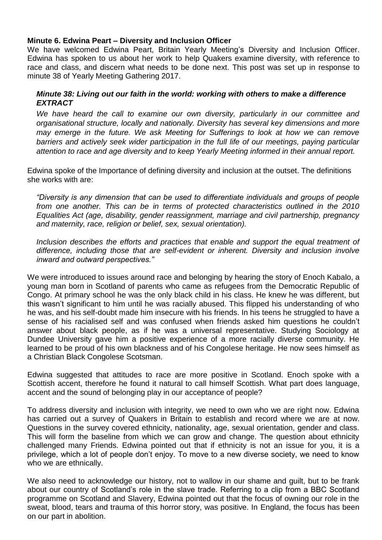#### **Minute 6. Edwina Peart – Diversity and Inclusion Officer**

We have welcomed Edwina Peart, Britain Yearly Meeting's Diversity and Inclusion Officer. Edwina has spoken to us about her work to help Quakers examine diversity, with reference to race and class, and discern what needs to be done next. This post was set up in response to minute 38 of Yearly Meeting Gathering 2017.

### *Minute 38: Living out our faith in the world: working with others to make a difference EXTRACT*

*We have heard the call to examine our own diversity, particularly in our committee and organisational structure, locally and nationally. Diversity has several key dimensions and more may emerge in the future. We ask Meeting for Sufferings to look at how we can remove* barriers and actively seek wider participation in the full life of our meetings, paying particular *attention to race and age diversity and to keep Yearly Meeting informed in their annual report.*

Edwina spoke of the Importance of defining diversity and inclusion at the outset. The definitions she works with are:

*"Diversity is any dimension that can be used to differentiate individuals and groups of people from one another. This can be in terms of protected characteristics outlined in the 2010 Equalities Act (age, disability, gender reassignment, marriage and civil partnership, pregnancy and maternity, race, religion or belief, sex, sexual orientation).*

*Inclusion describes the efforts and practices that enable and support the equal treatment of difference, including those that are self-evident or inherent. Diversity and inclusion involve inward and outward perspectives."*

We were introduced to issues around race and belonging by hearing the story of Enoch Kabalo, a young man born in Scotland of parents who came as refugees from the Democratic Republic of Congo. At primary school he was the only black child in his class. He knew he was different, but this wasn't significant to him until he was racially abused. This flipped his understanding of who he was, and his self-doubt made him insecure with his friends. In his teens he struggled to have a sense of his racialised self and was confused when friends asked him questions he couldn't answer about black people, as if he was a universal representative. Studying Sociology at Dundee University gave him a positive experience of a more racially diverse community. He learned to be proud of his own blackness and of his Congolese heritage. He now sees himself as a Christian Black Congolese Scotsman.

Edwina suggested that attitudes to race are more positive in Scotland. Enoch spoke with a Scottish accent, therefore he found it natural to call himself Scottish. What part does language, accent and the sound of belonging play in our acceptance of people?

To address diversity and inclusion with integrity, we need to own who we are right now. Edwina has carried out a survey of Quakers in Britain to establish and record where we are at now. Questions in the survey covered ethnicity, nationality, age, sexual orientation, gender and class. This will form the baseline from which we can grow and change. The question about ethnicity challenged many Friends. Edwina pointed out that if ethnicity is not an issue for you, it is a privilege, which a lot of people don't enjoy. To move to a new diverse society, we need to know who we are ethnically.

We also need to acknowledge our history, not to wallow in our shame and guilt, but to be frank about our country of Scotland's role in the slave trade. Referring to a clip from a BBC Scotland programme on Scotland and Slavery, Edwina pointed out that the focus of owning our role in the sweat, blood, tears and trauma of this horror story, was positive. In England, the focus has been on our part in abolition.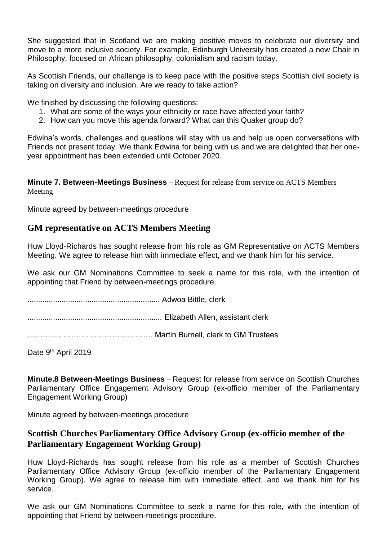She suggested that in Scotland we are making positive moves to celebrate our diversity and move to a more inclusive society. For example, Edinburgh University has created a new Chair in Philosophy, focused on African philosophy, colonialism and racism today.

As Scottish Friends, our challenge is to keep pace with the positive steps Scottish civil society is taking on diversity and inclusion. Are we ready to take action?

We finished by discussing the following questions:

- 1. What are some of the ways your ethnicity or race have affected your faith?
- 2. How can you move this agenda forward? What can this Quaker group do?

Edwina's words, challenges and questions will stay with us and help us open conversations with Friends not present today. We thank Edwina for being with us and we are delighted that her oneyear appointment has been extended until October 2020.

**Minute 7. Between-Meetings Business** – Request for release from service on ACTS Members Meeting

Minute agreed by between-meetings procedure

# **GM representative on ACTS Members Meeting**

Huw Lloyd-Richards has sought release from his role as GM Representative on ACTS Members Meeting. We agree to release him with immediate effect, and we thank him for his service.

We ask our GM Nominations Committee to seek a name for this role, with the intention of appointing that Friend by between-meetings procedure.

.............................................................. Adwoa Bittle, clerk

............................................................... Elizabeth Allen, assistant clerk

…………………………………………. Martin Burnell, clerk to GM Trustees

Date 9<sup>th</sup> April 2019

**Minute.8 Between-Meetings Business** – Request for release from service on Scottish Churches Parliamentary Office Engagement Advisory Group (ex-officio member of the Parliamentary Engagement Working Group)

Minute agreed by between-meetings procedure

# **Scottish Churches Parliamentary Office Advisory Group (ex-officio member of the Parliamentary Engagement Working Group)**

Huw Lloyd-Richards has sought release from his role as a member of Scottish Churches Parliamentary Office Advisory Group (ex-officio member of the Parliamentary Engagement Working Group). We agree to release him with immediate effect, and we thank him for his service.

We ask our GM Nominations Committee to seek a name for this role, with the intention of appointing that Friend by between-meetings procedure.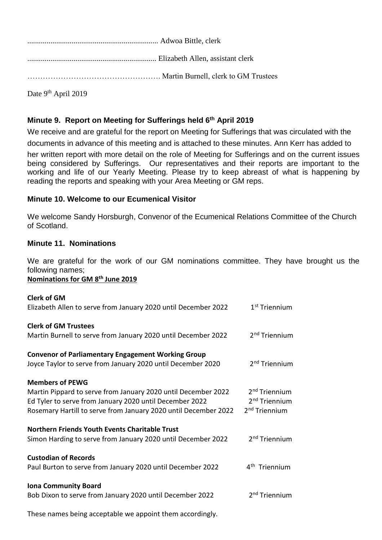.................................................................... Adwoa Bittle, clerk ................................................................... Elizabeth Allen, assistant clerk ……………………………………………. Martin Burnell, clerk to GM Trustees

Date 9<sup>th</sup> April 2019

# **Minute 9. Report on Meeting for Sufferings held 6 th April 2019**

We receive and are grateful for the report on Meeting for Sufferings that was circulated with the documents in advance of this meeting and is attached to these minutes. Ann Kerr has added to

her written report with more detail on the role of Meeting for Sufferings and on the current issues being considered by Sufferings. Our representatives and their reports are important to the working and life of our Yearly Meeting. Please try to keep abreast of what is happening by reading the reports and speaking with your Area Meeting or GM reps.

# **Minute 10. Welcome to our Ecumenical Visitor**

We welcome Sandy Horsburgh, Convenor of the Ecumenical Relations Committee of the Church of Scotland.

# **Minute 11. Nominations**

We are grateful for the work of our GM nominations committee. They have brought us the following names;

#### **Nominations for GM 8 th June 2019**

| <b>Clerk of GM</b><br>Elizabeth Allen to serve from January 2020 until December 2022                                                                                                                                  | 1 <sup>st</sup> Triennium                                                           |
|-----------------------------------------------------------------------------------------------------------------------------------------------------------------------------------------------------------------------|-------------------------------------------------------------------------------------|
| <b>Clerk of GM Trustees</b><br>Martin Burnell to serve from January 2020 until December 2022                                                                                                                          | 2 <sup>nd</sup> Triennium                                                           |
| <b>Convenor of Parliamentary Engagement Working Group</b><br>Joyce Taylor to serve from January 2020 until December 2020                                                                                              | 2 <sup>nd</sup> Triennium                                                           |
| <b>Members of PEWG</b><br>Martin Pippard to serve from January 2020 until December 2022<br>Ed Tyler to serve from January 2020 until December 2022<br>Rosemary Hartill to serve from January 2020 until December 2022 | 2 <sup>nd</sup> Triennium<br>2 <sup>nd</sup> Triennium<br>2 <sup>nd</sup> Triennium |
| <b>Northern Friends Youth Events Charitable Trust</b><br>Simon Harding to serve from January 2020 until December 2022                                                                                                 | 2 <sup>nd</sup> Triennium                                                           |
| <b>Custodian of Records</b><br>Paul Burton to serve from January 2020 until December 2022                                                                                                                             | 4 <sup>th</sup> Triennium                                                           |
| <b>Iona Community Board</b><br>Bob Dixon to serve from January 2020 until December 2022                                                                                                                               | 2 <sup>nd</sup> Triennium                                                           |

These names being acceptable we appoint them accordingly.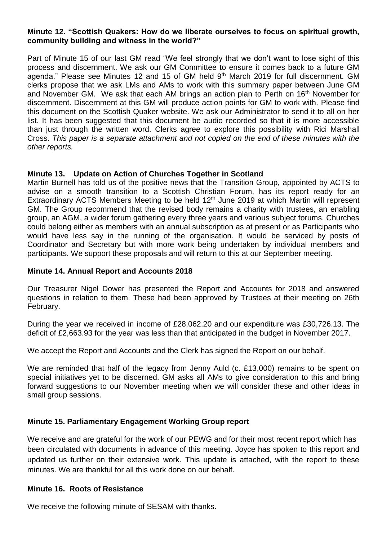#### **Minute 12. "Scottish Quakers: How do we liberate ourselves to focus on spiritual growth, community building and witness in the world?"**

Part of Minute 15 of our last GM read "We feel strongly that we don't want to lose sight of this process and discernment. We ask our GM Committee to ensure it comes back to a future GM agenda." Please see Minutes 12 and 15 of GM held 9<sup>th</sup> March 2019 for full discernment. GM clerks propose that we ask LMs and AMs to work with this summary paper between June GM and November GM. We ask that each AM brings an action plan to Perth on 16<sup>th</sup> November for discernment. Discernment at this GM will produce action points for GM to work with. Please find this document on the Scottish Quaker website. We ask our Administrator to send it to all on her list. It has been suggested that this document be audio recorded so that it is more accessible than just through the written word. Clerks agree to explore this possibility with Rici Marshall Cross. *This paper is a separate attachment and not copied on the end of these minutes with the other reports.*

### **Minute 13. Update on Action of Churches Together in Scotland**

Martin Burnell has told us of the positive news that the Transition Group, appointed by ACTS to advise on a smooth transition to a Scottish Christian Forum, has its report ready for an Extraordinary ACTS Members Meeting to be held 12<sup>th</sup> June 2019 at which Martin will represent GM. The Group recommend that the revised body remains a charity with trustees, an enabling group, an AGM, a wider forum gathering every three years and various subject forums. Churches could belong either as members with an annual subscription as at present or as Participants who would have less say in the running of the organisation. It would be serviced by posts of Coordinator and Secretary but with more work being undertaken by individual members and participants. We support these proposals and will return to this at our September meeting.

#### **Minute 14. Annual Report and Accounts 2018**

Our Treasurer Nigel Dower has presented the Report and Accounts for 2018 and answered questions in relation to them. These had been approved by Trustees at their meeting on 26th February.

During the year we received in income of £28,062.20 and our expenditure was £30,726.13. The deficit of £2,663.93 for the year was less than that anticipated in the budget in November 2017.

We accept the Report and Accounts and the Clerk has signed the Report on our behalf.

We are reminded that half of the legacy from Jenny Auld (c. £13,000) remains to be spent on special initiatives yet to be discerned. GM asks all AMs to give consideration to this and bring forward suggestions to our November meeting when we will consider these and other ideas in small group sessions.

#### **Minute 15. Parliamentary Engagement Working Group report**

We receive and are grateful for the work of our PEWG and for their most recent report which has been circulated with documents in advance of this meeting. Joyce has spoken to this report and updated us further on their extensive work. This update is attached, with the report to these minutes. We are thankful for all this work done on our behalf.

#### **Minute 16. Roots of Resistance**

We receive the following minute of SESAM with thanks.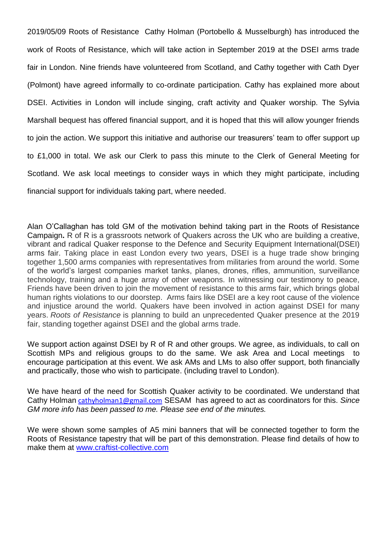2019/05/09 Roots of Resistance Cathy Holman (Portobello & Musselburgh) has introduced the work of Roots of Resistance, which will take action in September 2019 at the DSEI arms trade fair in London. Nine friends have volunteered from Scotland, and Cathy together with Cath Dyer (Polmont) have agreed informally to co-ordinate participation. Cathy has explained more about DSEI. Activities in London will include singing, craft activity and Quaker worship. The Sylvia Marshall bequest has offered financial support, and it is hoped that this will allow younger friends to join the action. We support this initiative and authorise our treasurers' team to offer support up to £1,000 in total. We ask our Clerk to pass this minute to the Clerk of General Meeting for Scotland. We ask local meetings to consider ways in which they might participate, including financial support for individuals taking part, where needed.

Alan O'Callaghan has told GM of the motivation behind taking part in the Roots of Resistance Campaign**.** R of R is a grassroots network of Quakers across the UK who are building a creative, vibrant and radical Quaker response to the Defence and Security Equipment International(DSEI) arms fair. Taking place in east London every two years, DSEI is a huge trade show bringing together 1,500 arms companies with representatives from militaries from around the world. Some of the world's largest companies market tanks, planes, drones, rifles, ammunition, surveillance technology, training and a huge array of other weapons. In witnessing our testimony to peace, Friends have been driven to join the movement of resistance to this arms fair, which brings global human rights violations to our doorstep. Arms fairs like DSEI are a key root cause of the violence and injustice around the world. Quakers have been involved in action against DSEI for many years. *Roots of Resistance* is planning to build an unprecedented Quaker presence at the 2019 fair, standing together against DSEI and the global arms trade.

We support action against DSEI by R of R and other groups. We agree, as individuals, to call on Scottish MPs and religious groups to do the same. We ask Area and Local meetings to encourage participation at this event. We ask AMs and LMs to also offer support, both financially and practically, those who wish to participate. (including travel to London).

We have heard of the need for Scottish Quaker activity to be coordinated. We understand that Cathy Holman [cathyholman1@gmail.com](mailto:cathyholman1@gmail.com) SESAM has agreed to act as coordinators for this. *Since GM more info has been passed to me. Please see end of the minutes.*

We were shown some samples of A5 mini banners that will be connected together to form the Roots of Resistance tapestry that will be part of this demonstration. Please find details of how to make them at [www.craftist-collective.com](http://www.craftist-collective.com/)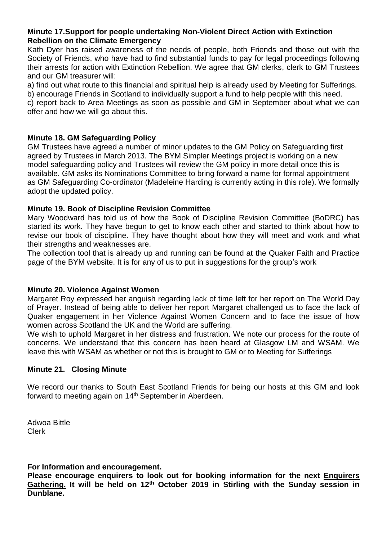#### **Minute 17.Support for people undertaking Non-Violent Direct Action with Extinction Rebellion on the Climate Emergency**

Kath Dyer has raised awareness of the needs of people, both Friends and those out with the Society of Friends, who have had to find substantial funds to pay for legal proceedings following their arrests for action with Extinction Rebellion. We agree that GM clerks, clerk to GM Trustees and our GM treasurer will:

a) find out what route to this financial and spiritual help is already used by Meeting for Sufferings.

b) encourage Friends in Scotland to individually support a fund to help people with this need.

c) report back to Area Meetings as soon as possible and GM in September about what we can offer and how we will go about this.

# **Minute 18. GM Safeguarding Policy**

GM Trustees have agreed a number of minor updates to the GM Policy on Safeguarding first agreed by Trustees in March 2013. The BYM Simpler Meetings project is working on a new model safeguarding policy and Trustees will review the GM policy in more detail once this is available. GM asks its Nominations Committee to bring forward a name for formal appointment as GM Safeguarding Co-ordinator (Madeleine Harding is currently acting in this role). We formally adopt the updated policy.

### **Minute 19. Book of Discipline Revision Committee**

Mary Woodward has told us of how the Book of Discipline Revision Committee (BoDRC) has started its work. They have begun to get to know each other and started to think about how to revise our book of discipline. They have thought about how they will meet and work and what their strengths and weaknesses are.

The collection tool that is already up and running can be found at the Quaker Faith and Practice page of the BYM website. It is for any of us to put in suggestions for the group's work

# **Minute 20. Violence Against Women**

Margaret Roy expressed her anguish regarding lack of time left for her report on The World Day of Prayer. Instead of being able to deliver her report Margaret challenged us to face the lack of Quaker engagement in her Violence Against Women Concern and to face the issue of how women across Scotland the UK and the World are suffering.

We wish to uphold Margaret in her distress and frustration. We note our process for the route of concerns. We understand that this concern has been heard at Glasgow LM and WSAM. We leave this with WSAM as whether or not this is brought to GM or to Meeting for Sufferings

#### **Minute 21. Closing Minute**

We record our thanks to South East Scotland Friends for being our hosts at this GM and look forward to meeting again on 14<sup>th</sup> September in Aberdeen.

Adwoa Bittle Clerk

**For Information and encouragement.**

**Please encourage enquirers to look out for booking information for the next Enquirers Gathering. It will be held on 12th October 2019 in Stirling with the Sunday session in Dunblane.**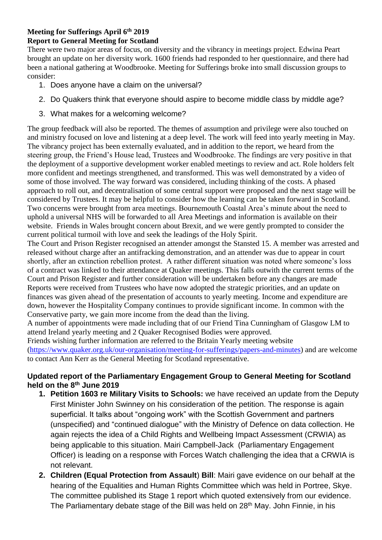# **Meeting for Sufferings April 6th 2019**

# **Report to General Meeting for Scotland**

There were two major areas of focus, on diversity and the vibrancy in meetings project. Edwina Peart brought an update on her diversity work. 1600 friends had responded to her questionnaire, and there had been a national gathering at Woodbrooke. Meeting for Sufferings broke into small discussion groups to consider:

- 1. Does anyone have a claim on the universal?
- 2. Do Quakers think that everyone should aspire to become middle class by middle age?
- 3. What makes for a welcoming welcome?

The group feedback will also be reported. The themes of assumption and privilege were also touched on and ministry focused on love and listening at a deep level. The work will feed into yearly meeting in May. The vibrancy project has been externally evaluated, and in addition to the report, we heard from the steering group, the Friend's House lead, Trustees and Woodbrooke. The findings are very positive in that the deployment of a supportive development worker enabled meetings to review and act. Role holders felt more confident and meetings strengthened, and transformed. This was well demonstrated by a video of some of those involved. The way forward was considered, including thinking of the costs. A phased approach to roll out, and decentralisation of some central support were proposed and the next stage will be considered by Trustees. It may be helpful to consider how the learning can be taken forward in Scotland. Two concerns were brought from area meetings. Bournemouth Coastal Area's minute about the need to uphold a universal NHS will be forwarded to all Area Meetings and information is available on their website. Friends in Wales brought concern about Brexit, and we were gently prompted to consider the current political turmoil with love and seek the leadings of the Holy Spirit.

The Court and Prison Register recognised an attender amongst the Stansted 15. A member was arrested and released without charge after an antifracking demonstration, and an attender was due to appear in court shortly, after an extinction rebellion protest. A rather different situation was noted where someone's loss of a contract was linked to their attendance at Quaker meetings. This falls outwith the current terms of the Court and Prison Register and further consideration will be undertaken before any changes are made Reports were received from Trustees who have now adopted the strategic priorities, and an update on finances was given ahead of the presentation of accounts to yearly meeting. Income and expenditure are down, however the Hospitality Company continues to provide significant income. In common with the Conservative party, we gain more income from the dead than the living.

A number of appointments were made including that of our Friend Tina Cunningham of Glasgow LM to attend Ireland yearly meeting and 2 Quaker Recognised Bodies were approved.

Friends wishing further information are referred to the Britain Yearly meeting website [\(https://www.quaker.org.uk/our-organisation/meeting-for-sufferings/papers-and-minutes\)](https://www.quaker.org.uk/our-organisation/meeting-for-sufferings/papers-and-minutes) and are welcome to contact Ann Kerr as the General Meeting for Scotland representative.

# **Updated report of the Parliamentary Engagement Group to General Meeting for Scotland held on the 8th June 2019**

- **1. Petition 1603 re Military Visits to Schools:** we have received an update from the Deputy First Minister John Swinney on his consideration of the petition. The response is again superficial. It talks about "ongoing work" with the Scottish Government and partners (unspecified) and "continued dialogue" with the Ministry of Defence on data collection. He again rejects the idea of a Child Rights and Wellbeing Impact Assessment (CRWIA) as being applicable to this situation. Mairi Campbell-Jack (Parliamentary Engagement Officer) is leading on a response with Forces Watch challenging the idea that a CRWIA is not relevant.
- **2. Children (Equal Protection from Assault**) **Bill**: Mairi gave evidence on our behalf at the hearing of the Equalities and Human Rights Committee which was held in Portree, Skye. The committee published its Stage 1 report which quoted extensively from our evidence. The Parliamentary debate stage of the Bill was held on 28<sup>th</sup> May. John Finnie, in his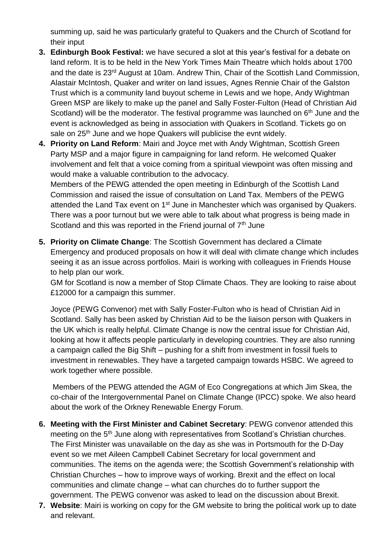summing up, said he was particularly grateful to Quakers and the Church of Scotland for their input

- **3. Edinburgh Book Festival:** we have secured a slot at this year's festival for a debate on land reform. It is to be held in the New York Times Main Theatre which holds about 1700 and the date is 23rd August at 10am. Andrew Thin, Chair of the Scottish Land Commission, Alastair McIntosh, Quaker and writer on land issues, Agnes Rennie Chair of the Galston Trust which is a community land buyout scheme in Lewis and we hope, Andy Wightman Green MSP are likely to make up the panel and Sally Foster-Fulton (Head of Christian Aid Scotland) will be the moderator. The festival programme was launched on 6<sup>th</sup> June and the event is acknowledged as being in association with Quakers in Scotland. Tickets go on sale on 25<sup>th</sup> June and we hope Quakers will publicise the evnt widely.
- **4. Priority on Land Reform**: Mairi and Joyce met with Andy Wightman, Scottish Green Party MSP and a major figure in campaigning for land reform. He welcomed Quaker involvement and felt that a voice coming from a spiritual viewpoint was often missing and would make a valuable contribution to the advocacy.

Members of the PEWG attended the open meeting in Edinburgh of the Scottish Land Commission and raised the issue of consultation on Land Tax. Members of the PEWG attended the Land Tax event on 1<sup>st</sup> June in Manchester which was organised by Quakers. There was a poor turnout but we were able to talk about what progress is being made in Scotland and this was reported in the Friend journal of 7<sup>th</sup> June

**5. Priority on Climate Change**: The Scottish Government has declared a Climate Emergency and produced proposals on how it will deal with climate change which includes seeing it as an issue across portfolios. Mairi is working with colleagues in Friends House to help plan our work.

GM for Scotland is now a member of Stop Climate Chaos. They are looking to raise about £12000 for a campaign this summer.

Joyce (PEWG Convenor) met with Sally Foster-Fulton who is head of Christian Aid in Scotland. Sally has been asked by Christian Aid to be the liaison person with Quakers in the UK which is really helpful. Climate Change is now the central issue for Christian Aid, looking at how it affects people particularly in developing countries. They are also running a campaign called the Big Shift – pushing for a shift from investment in fossil fuels to investment in renewables. They have a targeted campaign towards HSBC. We agreed to work together where possible.

Members of the PEWG attended the AGM of Eco Congregations at which Jim Skea, the co-chair of the Intergovernmental Panel on Climate Change (IPCC) spoke. We also heard about the work of the Orkney Renewable Energy Forum.

- **6. Meeting with the First Minister and Cabinet Secretary**: PEWG convenor attended this meeting on the 5<sup>th</sup> June along with representatives from Scotland's Christian churches. The First Minister was unavailable on the day as she was in Portsmouth for the D-Day event so we met Aileen Campbell Cabinet Secretary for local government and communities. The items on the agenda were; the Scottish Government's relationship with Christian Churches – how to improve ways of working. Brexit and the effect on local communities and climate change – what can churches do to further support the government. The PEWG convenor was asked to lead on the discussion about Brexit.
- **7. Website**: Mairi is working on copy for the GM website to bring the political work up to date and relevant.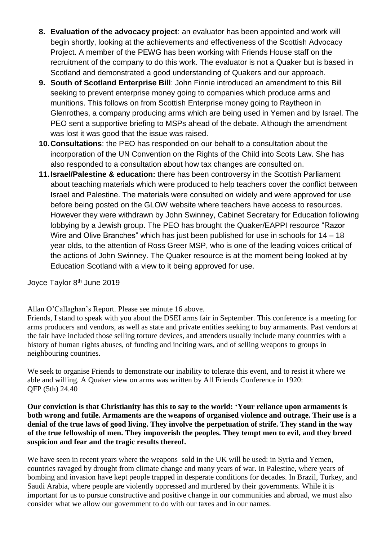- **8. Evaluation of the advocacy project**: an evaluator has been appointed and work will begin shortly, looking at the achievements and effectiveness of the Scottish Advocacy Project. A member of the PEWG has been working with Friends House staff on the recruitment of the company to do this work. The evaluator is not a Quaker but is based in Scotland and demonstrated a good understanding of Quakers and our approach.
- **9. South of Scotland Enterprise Bill**: John Finnie introduced an amendment to this Bill seeking to prevent enterprise money going to companies which produce arms and munitions. This follows on from Scottish Enterprise money going to Raytheon in Glenrothes, a company producing arms which are being used in Yemen and by Israel. The PEO sent a supportive briefing to MSPs ahead of the debate. Although the amendment was lost it was good that the issue was raised.
- **10.Consultations**: the PEO has responded on our behalf to a consultation about the incorporation of the UN Convention on the Rights of the Child into Scots Law. She has also responded to a consultation about how tax changes are consulted on.
- **11.Israel/Palestine & education:** there has been controversy in the Scottish Parliament about teaching materials which were produced to help teachers cover the conflict between Israel and Palestine. The materials were consulted on widely and were approved for use before being posted on the GLOW website where teachers have access to resources. However they were withdrawn by John Swinney, Cabinet Secretary for Education following lobbying by a Jewish group. The PEO has brought the Quaker/EAPPI resource "Razor Wire and Olive Branches" which has just been published for use in schools for 14 – 18 year olds, to the attention of Ross Greer MSP, who is one of the leading voices critical of the actions of John Swinney. The Quaker resource is at the moment being looked at by Education Scotland with a view to it being approved for use.

Joyce Taylor 8 th June 2019

Allan O'Callaghan's Report. Please see minute 16 above.

Friends, I stand to speak with you about the DSEI arms fair in September. This conference is a meeting for arms producers and vendors, as well as state and private entities seeking to buy armaments. Past vendors at the fair have included those selling torture devices, and attenders usually include many countries with a history of human rights abuses, of funding and inciting wars, and of selling weapons to groups in neighbouring countries.

We seek to organise Friends to demonstrate our inability to tolerate this event, and to resist it where we able and willing. A Quaker view on arms was written by All Friends Conference in 1920: QFP (5th) 24.40

**Our conviction is that Christianity has this to say to the world: 'Your reliance upon armaments is both wrong and futile. Armaments are the weapons of organised violence and outrage. Their use is a denial of the true laws of good living. They involve the perpetuation of strife. They stand in the way of the true fellowship of men. They impoverish the peoples. They tempt men to evil, and they breed suspicion and fear and the tragic results thereof.**

We have seen in recent years where the weapons sold in the UK will be used: in Syria and Yemen, countries ravaged by drought from climate change and many years of war. In Palestine, where years of bombing and invasion have kept people trapped in desperate conditions for decades. In Brazil, Turkey, and Saudi Arabia, where people are violently oppressed and murdered by their governments. While it is important for us to pursue constructive and positive change in our communities and abroad, we must also consider what we allow our government to do with our taxes and in our names.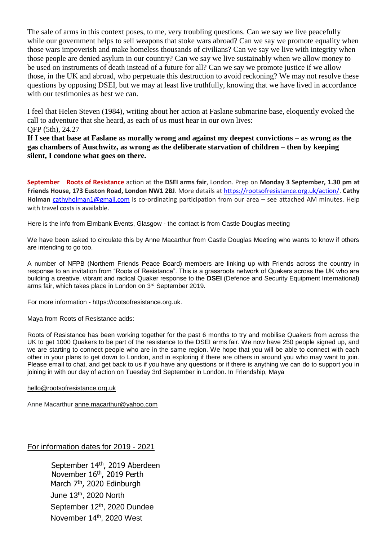The sale of arms in this context poses, to me, very troubling questions. Can we say we live peacefully while our government helps to sell weapons that stoke wars abroad? Can we say we promote equality when those wars impoverish and make homeless thousands of civilians? Can we say we live with integrity when those people are denied asylum in our country? Can we say we live sustainably when we allow money to be used on instruments of death instead of a future for all? Can we say we promote justice if we allow those, in the UK and abroad, who perpetuate this destruction to avoid reckoning? We may not resolve these questions by opposing DSEI, but we may at least live truthfully, knowing that we have lived in accordance with our testimonies as best we can.

I feel that Helen Steven (1984), writing about her action at Faslane submarine base, eloquently evoked the call to adventure that she heard, as each of us must hear in our own lives: QFP (5th), 24.27

**If I see that base at Faslane as morally wrong and against my deepest convictions – as wrong as the gas chambers of Auschwitz, as wrong as the deliberate starvation of children – then by keeping silent, I condone what goes on there.**

**September Roots of Resistance** action at the **DSEI arms fair**, London. Prep on **Monday 3 September, 1.30 pm at Friends House, 173 Euston Road, London NW1 2BJ**. More details a[t https://rootsofresistance.org.uk/action/.](https://rootsofresistance.org.uk/action/) **Cathy Holman** [cathyholman1@gmail.com](mailto:cathyholman1@gmail.com) is co-ordinating participation from our area – see attached AM minutes. Help with travel costs is available.

Here is the info from Elmbank Events, Glasgow - the contact is from Castle Douglas meeting

We have been asked to circulate this by Anne Macarthur from Castle Douglas Meeting who wants to know if others are intending to go too.

A number of NFPB (Northern Friends Peace Board) members are linking up with Friends across the country in response to an invitation from "Roots of Resistance". This is a grassroots network of Quakers across the UK who are building a creative, vibrant and radical Quaker response to the **DSEI** (Defence and Security Equipment International) arms fair, which takes place in London on 3rd September 2019.

For more information - https://rootsofresistance.org.uk.

Maya from Roots of Resistance adds:

Roots of Resistance has been working together for the past 6 months to try and mobilise Quakers from across the UK to get 1000 Quakers to be part of the resistance to the DSEI arms fair. We now have 250 people signed up, and we are starting to connect people who are in the same region. We hope that you will be able to connect with each other in your plans to get down to London, and in exploring if there are others in around you who may want to join. Please email to chat, and get back to us if you have any questions or if there is anything we can do to support you in joining in with our day of action on Tuesday 3rd September in London. In Friendship, Maya

#### [hello@rootsofresistance.org.uk](mailto:hello@rootsofresistance.org.uk)

Anne Macarthur [anne.macarthur@yahoo.com](mailto:anne.macarthur@yahoo.com)

For information dates for 2019 - 2021

September 14<sup>th</sup>, 2019 Aberdeen November 16<sup>th</sup>, 2019 Perth March 7<sup>th</sup>, 2020 Edinburgh June 13th, 2020 North September 12<sup>th</sup>, 2020 Dundee November 14<sup>th</sup>, 2020 West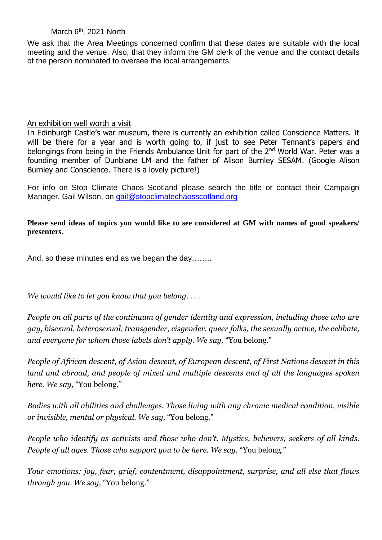March 6<sup>th</sup>, 2021 North

We ask that the Area Meetings concerned confirm that these dates are suitable with the local meeting and the venue. Also, that they inform the GM clerk of the venue and the contact details of the person nominated to oversee the local arrangements.

#### An exhibition well worth a visit

In Edinburgh Castle's war museum, there is currently an exhibition called Conscience Matters. It will be there for a year and is worth going to, if just to see Peter Tennant's papers and belongings from being in the Friends Ambulance Unit for part of the 2<sup>nd</sup> World War. Peter was a founding member of Dunblane LM and the father of Alison Burnley SESAM. (Google Alison Burnley and Conscience. There is a lovely picture!)

For info on Stop Climate Chaos Scotland please search the title or contact their Campaign Manager, Gail Wilson, on [gail@stopclimatechaosscotland.org](mailto:gail@stopclimatechaosscotland.org)

**Please send ideas of topics you would like to see considered at GM with names of good speakers/ presenters.**

And, so these minutes end as we began the day……..

*We would like to let you know that you belong. . . .*

*People on all parts of the continuum of gender identity and expression, including those who are gay, bisexual, heterosexual, transgender, cisgender, queer folks, the sexually active, the celibate, and everyone for whom those labels don't apply. We say,* "You belong."

*People of African descent, of Asian descent, of European descent, of First Nations descent in this land and abroad, and people of mixed and multiple descents and of all the languages spoken here. We say,* "You belong."

*Bodies with all abilities and challenges. Those living with any chronic medical condition, visible or invisible, mental or physical. We say,* "You belong."

*People who identify as activists and those who don't. Mystics, believers, seekers of all kinds. People of all ages. Those who support you to be here. We say,* "You belong."

*Your emotions: joy, fear, grief, contentment, disappointment, surprise, and all else that flows through you. We say,* "You belong."